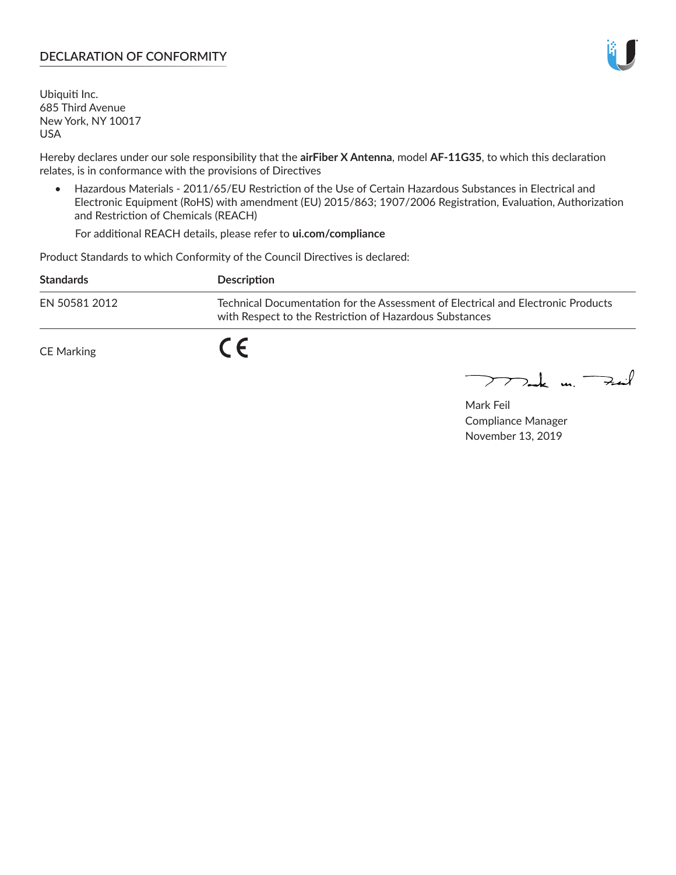## **DECLARATION OF CONFORMITY**

Ubiquiti Inc. 685 Third Avenue New York, NY 10017 USA

Hereby declares under our sole responsibility that the **airFiber X Antenna**, model **AF-11G35**, to which this declaration relates, is in conformance with the provisions of Directives

• Hazardous Materials - 2011/65/EU Restriction of the Use of Certain Hazardous Substances in Electrical and Electronic Equipment (RoHS) with amendment (EU) 2015/863; 1907/2006 Registration, Evaluation, Authorization and Restriction of Chemicals (REACH)

For additional REACH details, please refer to **ui.com/compliance**

Product Standards to which Conformity of the Council Directives is declared:

| <b>Standards</b> | <b>Description</b>                                                                                                                          |
|------------------|---------------------------------------------------------------------------------------------------------------------------------------------|
| EN 50581 2012    | Technical Documentation for the Assessment of Electrical and Electronic Products<br>with Respect to the Restriction of Hazardous Substances |
| CE Marking       |                                                                                                                                             |

 $\sum_{n=1}^{\infty}$  un  $\sum_{n=1}^{\infty}$ 

Mark Feil Compliance Manager November 13, 2019

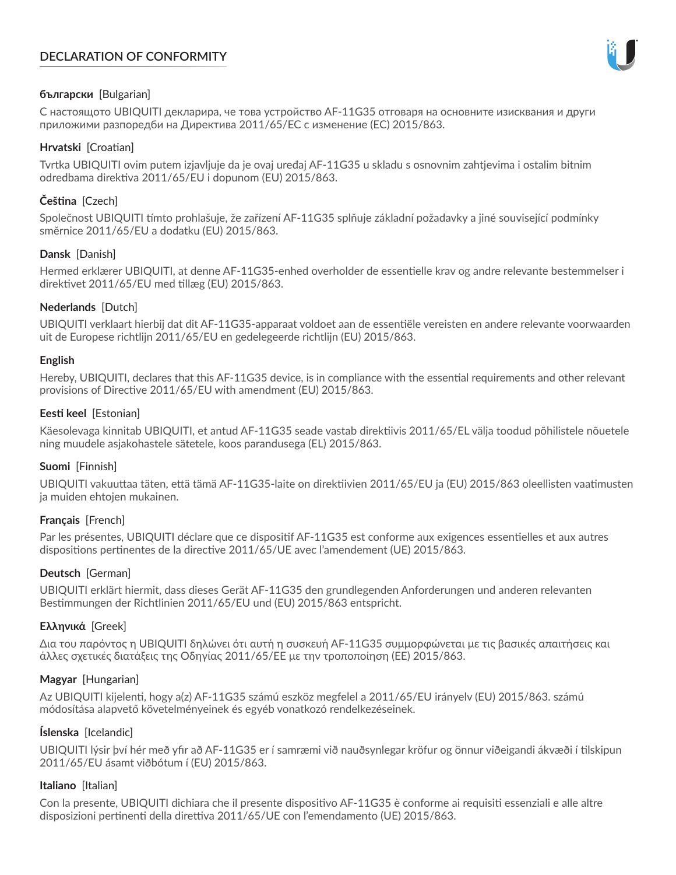# **DECLARATION OF CONFORMITY**



## **български** [Bulgarian]

С настоящото UBIQUITI декларира, че това устройство AF-11G35 отговаря на основните изисквания и други приложими разпоредби на Директива 2011/65/ЕС с изменение (ЕС) 2015/863.

## **Hrvatski** [Croatian]

Tvrtka UBIQUITI ovim putem izjavljuje da je ovaj uređaj AF-11G35 u skladu s osnovnim zahtjevima i ostalim bitnim odredbama direktiva 2011/65/EU i dopunom (EU) 2015/863.

# **Čeština** [Czech]

Společnost UBIQUITI tímto prohlašuje, že zařízení AF-11G35 splňuje základní požadavky a jiné související podmínky směrnice 2011/65/EU a dodatku (EU) 2015/863.

### **Dansk** [Danish]

Hermed erklærer UBIQUITI, at denne AF-11G35-enhed overholder de essentielle krav og andre relevante bestemmelser i direktivet 2011/65/EU med tillæg (EU) 2015/863.

### **Nederlands** [Dutch]

UBIQUITI verklaart hierbij dat dit AF-11G35-apparaat voldoet aan de essentiële vereisten en andere relevante voorwaarden uit de Europese richtlijn 2011/65/EU en gedelegeerde richtlijn (EU) 2015/863.

#### **English**

Hereby, UBIQUITI, declares that this AF-11G35 device, is in compliance with the essential requirements and other relevant provisions of Directive 2011/65/EU with amendment (EU) 2015/863.

### **Eesti keel** [Estonian]

Käesolevaga kinnitab UBIQUITI, et antud AF-11G35 seade vastab direktiivis 2011/65/EL välja toodud põhilistele nõuetele ning muudele asjakohastele sätetele, koos parandusega (EL) 2015/863.

## **Suomi** [Finnish]

UBIQUITI vakuuttaa täten, että tämä AF-11G35-laite on direktiivien 2011/65/EU ja (EU) 2015/863 oleellisten vaatimusten ja muiden ehtojen mukainen.

#### **Français** [French]

Par les présentes, UBIQUITI déclare que ce dispositif AF-11G35 est conforme aux exigences essentielles et aux autres dispositions pertinentes de la directive 2011/65/UE avec l'amendement (UE) 2015/863.

## **Deutsch** [German]

UBIQUITI erklärt hiermit, dass dieses Gerät AF-11G35 den grundlegenden Anforderungen und anderen relevanten Bestimmungen der Richtlinien 2011/65/EU und (EU) 2015/863 entspricht.

#### **Ελληνικά** [Greek]

Δια του παρόντος η UBIQUITI δηλώνει ότι αυτή η συσκευή AF-11G35 συμμορφώνεται με τις βασικές απαιτήσεις και άλλες σχετικές διατάξεις της Οδηγίας 2011/65/ΕΕ με την τροποποίηση (ΕΕ) 2015/863.

#### **Magyar** [Hungarian]

Az UBIQUITI kijelenti, hogy a(z) AF-11G35 számú eszköz megfelel a 2011/65/EU irányelv (EU) 2015/863. számú módosítása alapvető követelményeinek és egyéb vonatkozó rendelkezéseinek.

#### **Íslenska** [Icelandic]

UBIQUITI lýsir því hér með yfir að AF-11G35 er í samræmi við nauðsynlegar kröfur og önnur viðeigandi ákvæði í tilskipun 2011/65/EU ásamt viðbótum í (EU) 2015/863.

#### **Italiano** [Italian]

Con la presente, UBIQUITI dichiara che il presente dispositivo AF-11G35 è conforme ai requisiti essenziali e alle altre disposizioni pertinenti della direttiva 2011/65/UE con l'emendamento (UE) 2015/863.